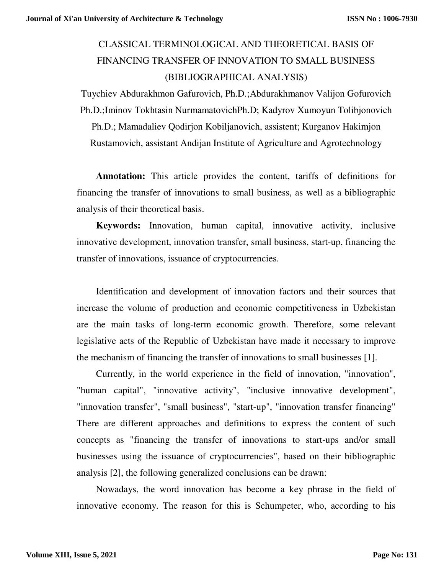## CLASSICAL TERMINOLOGICAL AND THEORETICAL BASIS OF FINANCING TRANSFER OF INNOVATION TO SMALL BUSINESS (BIBLIOGRAPHICAL ANALYSIS)

Tuychiev Abdurakhmon Gafurovich, Ph.D.;Abdurakhmanov Valijon Gofurovich Ph.D.;Iminov Tokhtasin NurmamatovichPh.D; Kadyrov Xumoyun Tolibjonovich Ph.D.; Mamadaliev Qodirjon Kobiljanovich, assistent; Kurganov Hakimjon Rustamovich, assistant Andijan Institute of Agriculture and Agrotechnology

**Annotation:** This article provides the content, tariffs of definitions for financing the transfer of innovations to small business, as well as a bibliographic analysis of their theoretical basis.

**Keywords:** Innovation, human capital, innovative activity, inclusive innovative development, innovation transfer, small business, start-up, financing the transfer of innovations, issuance of cryptocurrencies.

Identification and development of innovation factors and their sources that increase the volume of production and economic competitiveness in Uzbekistan are the main tasks of long-term economic growth. Therefore, some relevant legislative acts of the Republic of Uzbekistan have made it necessary to improve the mechanism of financing the transfer of innovations to small businesses [1].

Currently, in the world experience in the field of innovation, "innovation", "human capital", "innovative activity", "inclusive innovative development", "innovation transfer", "small business", "start-up", "innovation transfer financing" There are different approaches and definitions to express the content of such concepts as "financing the transfer of innovations to start-ups and/or small businesses using the issuance of cryptocurrencies", based on their bibliographic analysis [2], the following generalized conclusions can be drawn:

Nowadays, the word innovation has become a key phrase in the field of innovative economy. The reason for this is Schumpeter, who, according to his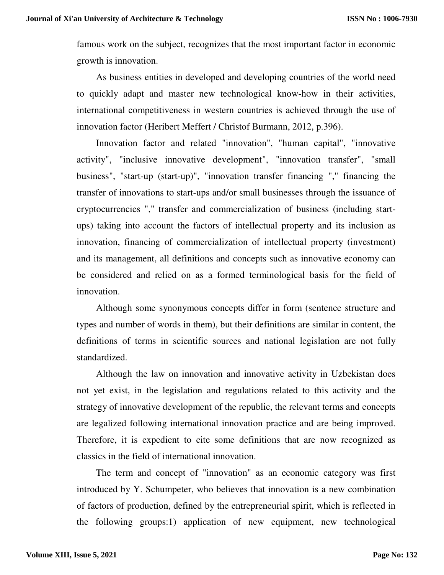famous work on the subject, recognizes that the most important factor in economic growth is innovation.

As business entities in developed and developing countries of the world need to quickly adapt and master new technological know-how in their activities, international competitiveness in western countries is achieved through the use of innovation factor (Heribert Meffert / Christof Burmann, 2012, p.396).

Innovation factor and related "innovation", "human capital", "innovative activity", "inclusive innovative development", "innovation transfer", "small business", "start-up (start-up)", "innovation transfer financing "," financing the transfer of innovations to start-ups and/or small businesses through the issuance of cryptocurrencies "," transfer and commercialization of business (including startups) taking into account the factors of intellectual property and its inclusion as innovation, financing of commercialization of intellectual property (investment) and its management, all definitions and concepts such as innovative economy can be considered and relied on as a formed terminological basis for the field of innovation.

Although some synonymous concepts differ in form (sentence structure and types and number of words in them), but their definitions are similar in content, the definitions of terms in scientific sources and national legislation are not fully standardized.

Although the law on innovation and innovative activity in Uzbekistan does not yet exist, in the legislation and regulations related to this activity and the strategy of innovative development of the republic, the relevant terms and concepts are legalized following international innovation practice and are being improved. Therefore, it is expedient to cite some definitions that are now recognized as classics in the field of international innovation.

The term and concept of "innovation" as an economic category was first introduced by Y. Schumpeter, who believes that innovation is a new combination of factors of production, defined by the entrepreneurial spirit, which is reflected in the following groups:1) application of new equipment, new technological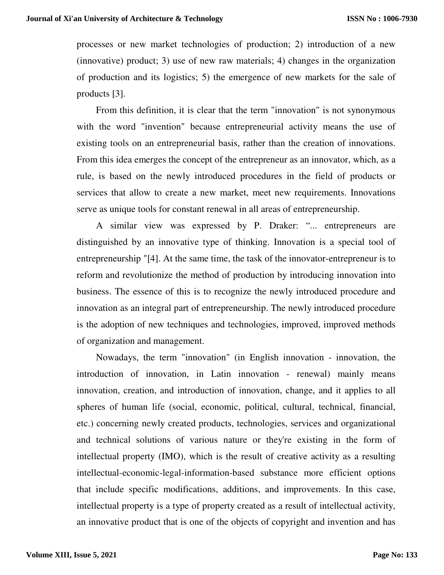processes or new market technologies of production; 2) introduction of a new (innovative) product; 3) use of new raw materials; 4) changes in the organization of production and its logistics; 5) the emergence of new markets for the sale of products [3].

From this definition, it is clear that the term "innovation" is not synonymous with the word "invention" because entrepreneurial activity means the use of existing tools on an entrepreneurial basis, rather than the creation of innovations. From this idea emerges the concept of the entrepreneur as an innovator, which, as a rule, is based on the newly introduced procedures in the field of products or services that allow to create a new market, meet new requirements. Innovations serve as unique tools for constant renewal in all areas of entrepreneurship.

A similar view was expressed by P. Draker: "... entrepreneurs are distinguished by an innovative type of thinking. Innovation is a special tool of entrepreneurship "[4]. At the same time, the task of the innovator-entrepreneur is to reform and revolutionize the method of production by introducing innovation into business. The essence of this is to recognize the newly introduced procedure and innovation as an integral part of entrepreneurship. The newly introduced procedure is the adoption of new techniques and technologies, improved, improved methods of organization and management.

Nowadays, the term "innovation" (in English innovation - innovation, the introduction of innovation, in Latin innovation - renewal) mainly means innovation, creation, and introduction of innovation, change, and it applies to all spheres of human life (social, economic, political, cultural, technical, financial, etc.) concerning newly created products, technologies, services and organizational and technical solutions of various nature or they're existing in the form of intellectual property (IMO), which is the result of creative activity as a resulting intellectual-economic-legal-information-based substance more efficient options that include specific modifications, additions, and improvements. In this case, intellectual property is a type of property created as a result of intellectual activity, an innovative product that is one of the objects of copyright and invention and has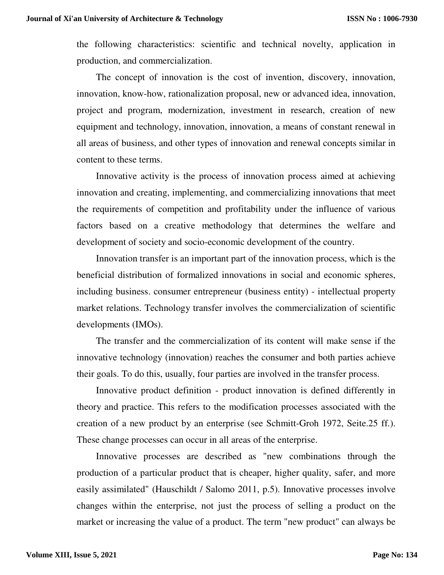the following characteristics: scientific and technical novelty, application in production, and commercialization.

The concept of innovation is the cost of invention, discovery, innovation, innovation, know-how, rationalization proposal, new or advanced idea, innovation, project and program, modernization, investment in research, creation of new equipment and technology, innovation, innovation, a means of constant renewal in all areas of business, and other types of innovation and renewal concepts similar in content to these terms.

Innovative activity is the process of innovation process aimed at achieving innovation and creating, implementing, and commercializing innovations that meet the requirements of competition and profitability under the influence of various factors based on a creative methodology that determines the welfare and development of society and socio-economic development of the country.

Innovation transfer is an important part of the innovation process, which is the beneficial distribution of formalized innovations in social and economic spheres, including business. consumer entrepreneur (business entity) - intellectual property market relations. Technology transfer involves the commercialization of scientific developments (IMOs).

The transfer and the commercialization of its content will make sense if the innovative technology (innovation) reaches the consumer and both parties achieve their goals. To do this, usually, four parties are involved in the transfer process.

Innovative product definition - product innovation is defined differently in theory and practice. This refers to the modification processes associated with the creation of a new product by an enterprise (see Schmitt-Groh 1972, Seite.25 ff.). These change processes can occur in all areas of the enterprise.

Innovative processes are described as "new combinations through the production of a particular product that is cheaper, higher quality, safer, and more easily assimilated" (Hauschildt / Salomo 2011, p.5). Innovative processes involve changes within the enterprise, not just the process of selling a product on the market or increasing the value of a product. The term "new product" can always be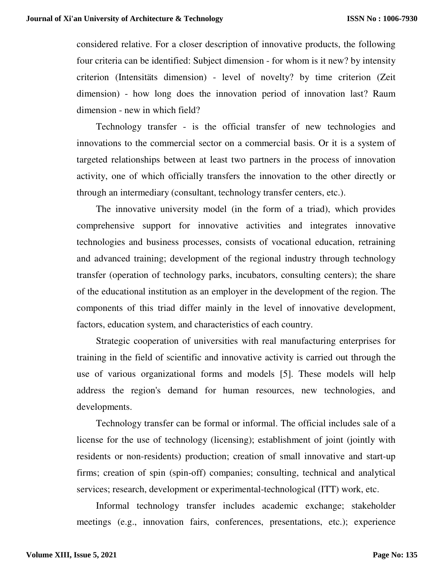considered relative. For a closer description of innovative products, the following four criteria can be identified: Subject dimension - for whom is it new? by intensity criterion (Intensitäts dimension) - level of novelty? by time criterion (Zeit dimension) - how long does the innovation period of innovation last? Raum dimension - new in which field?

Technology transfer - is the official transfer of new technologies and innovations to the commercial sector on a commercial basis. Or it is a system of targeted relationships between at least two partners in the process of innovation activity, one of which officially transfers the innovation to the other directly or through an intermediary (consultant, technology transfer centers, etc.).

The innovative university model (in the form of a triad), which provides comprehensive support for innovative activities and integrates innovative technologies and business processes, consists of vocational education, retraining and advanced training; development of the regional industry through technology transfer (operation of technology parks, incubators, consulting centers); the share of the educational institution as an employer in the development of the region. The components of this triad differ mainly in the level of innovative development, factors, education system, and characteristics of each country.

Strategic cooperation of universities with real manufacturing enterprises for training in the field of scientific and innovative activity is carried out through the use of various organizational forms and models [5]. These models will help address the region's demand for human resources, new technologies, and developments.

Technology transfer can be formal or informal. The official includes sale of a license for the use of technology (licensing); establishment of joint (jointly with residents or non-residents) production; creation of small innovative and start-up firms; creation of spin (spin-off) companies; consulting, technical and analytical services; research, development or experimental-technological (ITT) work, etc.

Informal technology transfer includes academic exchange; stakeholder meetings (e.g., innovation fairs, conferences, presentations, etc.); experience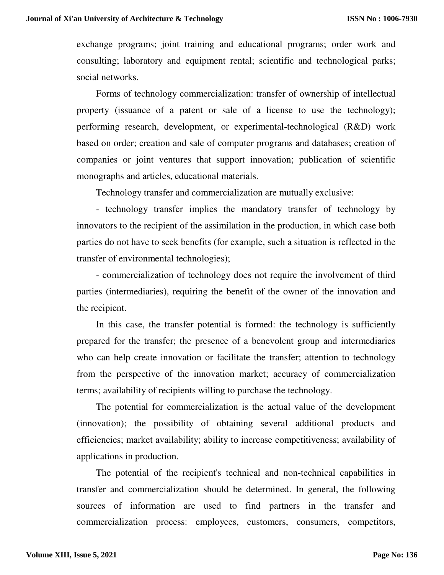exchange programs; joint training and educational programs; order work and consulting; laboratory and equipment rental; scientific and technological parks; social networks.

Forms of technology commercialization: transfer of ownership of intellectual property (issuance of a patent or sale of a license to use the technology); performing research, development, or experimental-technological (R&D) work based on order; creation and sale of computer programs and databases; creation of companies or joint ventures that support innovation; publication of scientific monographs and articles, educational materials.

Technology transfer and commercialization are mutually exclusive:

- technology transfer implies the mandatory transfer of technology by innovators to the recipient of the assimilation in the production, in which case both parties do not have to seek benefits (for example, such a situation is reflected in the transfer of environmental technologies);

- commercialization of technology does not require the involvement of third parties (intermediaries), requiring the benefit of the owner of the innovation and the recipient.

In this case, the transfer potential is formed: the technology is sufficiently prepared for the transfer; the presence of a benevolent group and intermediaries who can help create innovation or facilitate the transfer; attention to technology from the perspective of the innovation market; accuracy of commercialization terms; availability of recipients willing to purchase the technology.

The potential for commercialization is the actual value of the development (innovation); the possibility of obtaining several additional products and efficiencies; market availability; ability to increase competitiveness; availability of applications in production.

The potential of the recipient's technical and non-technical capabilities in transfer and commercialization should be determined. In general, the following sources of information are used to find partners in the transfer and commercialization process: employees, customers, consumers, competitors,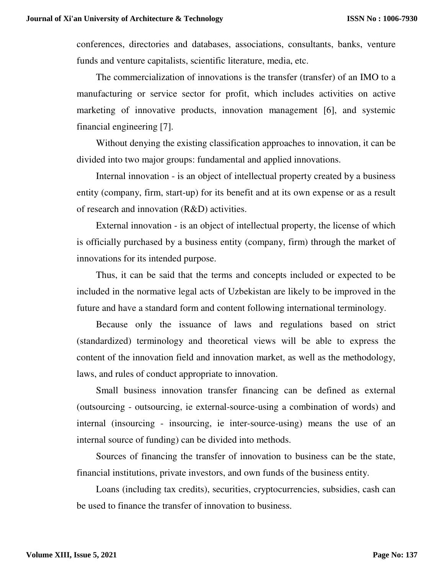conferences, directories and databases, associations, consultants, banks, venture funds and venture capitalists, scientific literature, media, etc.

The commercialization of innovations is the transfer (transfer) of an IMO to a manufacturing or service sector for profit, which includes activities on active marketing of innovative products, innovation management [6], and systemic financial engineering [7].

Without denying the existing classification approaches to innovation, it can be divided into two major groups: fundamental and applied innovations.

Internal innovation - is an object of intellectual property created by a business entity (company, firm, start-up) for its benefit and at its own expense or as a result of research and innovation (R&D) activities.

External innovation - is an object of intellectual property, the license of which is officially purchased by a business entity (company, firm) through the market of innovations for its intended purpose.

Thus, it can be said that the terms and concepts included or expected to be included in the normative legal acts of Uzbekistan are likely to be improved in the future and have a standard form and content following international terminology.

Because only the issuance of laws and regulations based on strict (standardized) terminology and theoretical views will be able to express the content of the innovation field and innovation market, as well as the methodology, laws, and rules of conduct appropriate to innovation.

Small business innovation transfer financing can be defined as external (outsourcing - outsourcing, ie external-source-using a combination of words) and internal (insourcing - insourcing, ie inter-source-using) means the use of an internal source of funding) can be divided into methods.

Sources of financing the transfer of innovation to business can be the state, financial institutions, private investors, and own funds of the business entity.

Loans (including tax credits), securities, cryptocurrencies, subsidies, cash can be used to finance the transfer of innovation to business.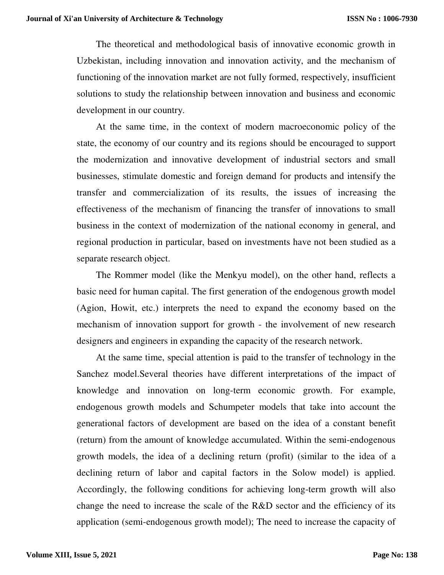The theoretical and methodological basis of innovative economic growth in Uzbekistan, including innovation and innovation activity, and the mechanism of functioning of the innovation market are not fully formed, respectively, insufficient solutions to study the relationship between innovation and business and economic development in our country.

At the same time, in the context of modern macroeconomic policy of the state, the economy of our country and its regions should be encouraged to support the modernization and innovative development of industrial sectors and small businesses, stimulate domestic and foreign demand for products and intensify the transfer and commercialization of its results, the issues of increasing the effectiveness of the mechanism of financing the transfer of innovations to small business in the context of modernization of the national economy in general, and regional production in particular, based on investments have not been studied as a separate research object.

The Rommer model (like the Menkyu model), on the other hand, reflects a basic need for human capital. The first generation of the endogenous growth model (Agion, Howit, etc.) interprets the need to expand the economy based on the mechanism of innovation support for growth - the involvement of new research designers and engineers in expanding the capacity of the research network.

At the same time, special attention is paid to the transfer of technology in the Sanchez model.Several theories have different interpretations of the impact of knowledge and innovation on long-term economic growth. For example, endogenous growth models and Schumpeter models that take into account the generational factors of development are based on the idea of a constant benefit (return) from the amount of knowledge accumulated. Within the semi-endogenous growth models, the idea of a declining return (profit) (similar to the idea of a declining return of labor and capital factors in the Solow model) is applied. Accordingly, the following conditions for achieving long-term growth will also change the need to increase the scale of the R&D sector and the efficiency of its application (semi-endogenous growth model); The need to increase the capacity of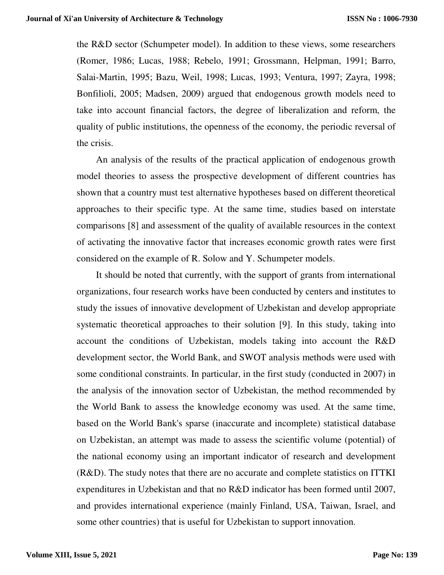the R&D sector (Schumpeter model). In addition to these views, some researchers (Romer, 1986; Lucas, 1988; Rebelo, 1991; Grossmann, Helpman, 1991; Barro, Salai-Martin, 1995; Bazu, Weil, 1998; Lucas, 1993; Ventura, 1997; Zayra, 1998; Bonfilioli, 2005; Madsen, 2009) argued that endogenous growth models need to take into account financial factors, the degree of liberalization and reform, the quality of public institutions, the openness of the economy, the periodic reversal of the crisis.

An analysis of the results of the practical application of endogenous growth model theories to assess the prospective development of different countries has shown that a country must test alternative hypotheses based on different theoretical approaches to their specific type. At the same time, studies based on interstate comparisons [8] and assessment of the quality of available resources in the context of activating the innovative factor that increases economic growth rates were first considered on the example of R. Solow and Y. Schumpeter models.

It should be noted that currently, with the support of grants from international organizations, four research works have been conducted by centers and institutes to study the issues of innovative development of Uzbekistan and develop appropriate systematic theoretical approaches to their solution [9]. In this study, taking into account the conditions of Uzbekistan, models taking into account the R&D development sector, the World Bank, and SWOT analysis methods were used with some conditional constraints. In particular, in the first study (conducted in 2007) in the analysis of the innovation sector of Uzbekistan, the method recommended by the World Bank to assess the knowledge economy was used. At the same time, based on the World Bank's sparse (inaccurate and incomplete) statistical database on Uzbekistan, an attempt was made to assess the scientific volume (potential) of the national economy using an important indicator of research and development (R&D). The study notes that there are no accurate and complete statistics on ITTKI expenditures in Uzbekistan and that no R&D indicator has been formed until 2007, and provides international experience (mainly Finland, USA, Taiwan, Israel, and some other countries) that is useful for Uzbekistan to support innovation.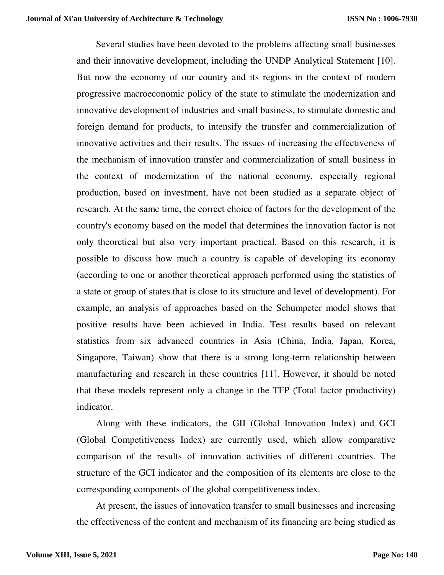Several studies have been devoted to the problems affecting small businesses and their innovative development, including the UNDP Analytical Statement [10]. But now the economy of our country and its regions in the context of modern progressive macroeconomic policy of the state to stimulate the modernization and innovative development of industries and small business, to stimulate domestic and foreign demand for products, to intensify the transfer and commercialization of innovative activities and their results. The issues of increasing the effectiveness of the mechanism of innovation transfer and commercialization of small business in the context of modernization of the national economy, especially regional production, based on investment, have not been studied as a separate object of research. At the same time, the correct choice of factors for the development of the country's economy based on the model that determines the innovation factor is not only theoretical but also very important practical. Based on this research, it is possible to discuss how much a country is capable of developing its economy (according to one or another theoretical approach performed using the statistics of a state or group of states that is close to its structure and level of development). For example, an analysis of approaches based on the Schumpeter model shows that positive results have been achieved in India. Test results based on relevant statistics from six advanced countries in Asia (China, India, Japan, Korea, Singapore, Taiwan) show that there is a strong long-term relationship between manufacturing and research in these countries [11]. However, it should be noted that these models represent only a change in the TFP (Total factor productivity) indicator.

Along with these indicators, the GII (Global Innovation Index) and GCI (Global Competitiveness Index) are currently used, which allow comparative comparison of the results of innovation activities of different countries. The structure of the GCI indicator and the composition of its elements are close to the corresponding components of the global competitiveness index.

At present, the issues of innovation transfer to small businesses and increasing the effectiveness of the content and mechanism of its financing are being studied as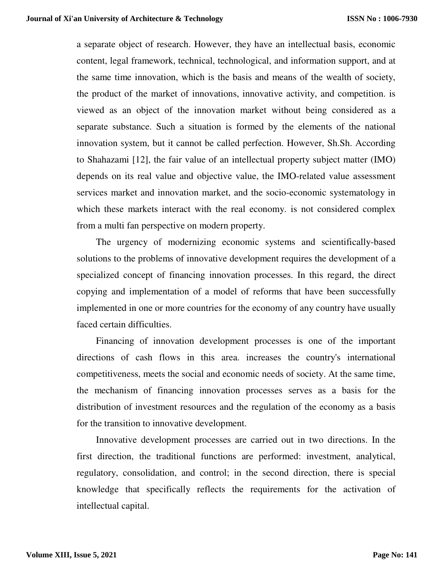a separate object of research. However, they have an intellectual basis, economic content, legal framework, technical, technological, and information support, and at the same time innovation, which is the basis and means of the wealth of society, the product of the market of innovations, innovative activity, and competition. is viewed as an object of the innovation market without being considered as a separate substance. Such a situation is formed by the elements of the national innovation system, but it cannot be called perfection. However, Sh.Sh. According to Shahazami [12], the fair value of an intellectual property subject matter (IMO) depends on its real value and objective value, the IMO-related value assessment services market and innovation market, and the socio-economic systematology in which these markets interact with the real economy. is not considered complex from a multi fan perspective on modern property.

The urgency of modernizing economic systems and scientifically-based solutions to the problems of innovative development requires the development of a specialized concept of financing innovation processes. In this regard, the direct copying and implementation of a model of reforms that have been successfully implemented in one or more countries for the economy of any country have usually faced certain difficulties.

Financing of innovation development processes is one of the important directions of cash flows in this area. increases the country's international competitiveness, meets the social and economic needs of society. At the same time, the mechanism of financing innovation processes serves as a basis for the distribution of investment resources and the regulation of the economy as a basis for the transition to innovative development.

Innovative development processes are carried out in two directions. In the first direction, the traditional functions are performed: investment, analytical, regulatory, consolidation, and control; in the second direction, there is special knowledge that specifically reflects the requirements for the activation of intellectual capital.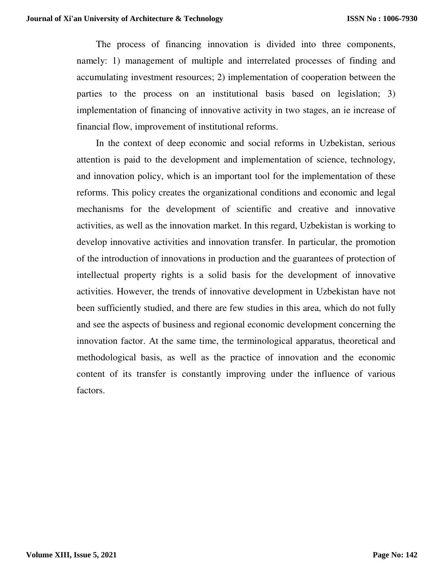The process of financing innovation is divided into three components, namely: 1) management of multiple and interrelated processes of finding and accumulating investment resources; 2) implementation of cooperation between the parties to the process on an institutional basis based on legislation; 3) implementation of financing of innovative activity in two stages, an ie increase of financial flow, improvement of institutional reforms.

In the context of deep economic and social reforms in Uzbekistan, serious attention is paid to the development and implementation of science, technology, and innovation policy, which is an important tool for the implementation of these reforms. This policy creates the organizational conditions and economic and legal mechanisms for the development of scientific and creative and innovative activities, as well as the innovation market. In this regard, Uzbekistan is working to develop innovative activities and innovation transfer. In particular, the promotion of the introduction of innovations in production and the guarantees of protection of intellectual property rights is a solid basis for the development of innovative activities. However, the trends of innovative development in Uzbekistan have not been sufficiently studied, and there are few studies in this area, which do not fully and see the aspects of business and regional economic development concerning the innovation factor. At the same time, the terminological apparatus, theoretical and methodological basis, as well as the practice of innovation and the economic content of its transfer is constantly improving under the influence of various factors.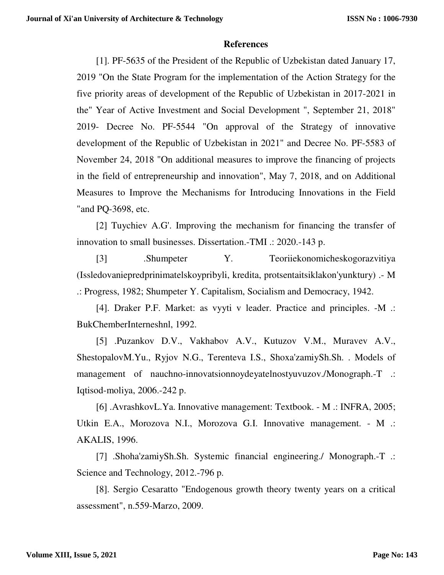## **References**

[1]. PF-5635 of the President of the Republic of Uzbekistan dated January 17, 2019 "On the State Program for the implementation of the Action Strategy for the five priority areas of development of the Republic of Uzbekistan in 2017-2021 in the" Year of Active Investment and Social Development ", September 21, 2018" 2019- Decree No. PF-5544 "On approval of the Strategy of innovative development of the Republic of Uzbekistan in 2021" and Decree No. PF-5583 of November 24, 2018 "On additional measures to improve the financing of projects in the field of entrepreneurship and innovation", May 7, 2018, and on Additional Measures to Improve the Mechanisms for Introducing Innovations in the Field "and PQ-3698, etc.

[2] Tuychiev A.G'. Improving the mechanism for financing the transfer of innovation to small businesses. Dissertation.-TMI .: 2020.-143 p.

[3] .Shumpeter Y. Teoriiekonomicheskogorazvitiya (Issledovaniepredprinimatelskoypribyli, kredita, protsentaitsiklakon'yunktury) .- M .: Progress, 1982; Shumpeter Y. Capitalism, Socialism and Democracy, 1942.

[4]. Draker P.F. Market: as vyyti v leader. Practice and principles. -M .: BukChemberInterneshnl, 1992.

[5] .Puzankov D.V., Vakhabov A.V., Kutuzov V.M., Muravev A.V., ShestopalovM.Yu., Ryjov N.G., Terenteva I.S., Shoxa'zamiySh.Sh. . Models of management of nauchno-innovatsionnoydeyatelnostyuvuzov./Monograph.-T .: Iqtisod-moliya, 2006.-242 p.

[6] .AvrashkovL.Ya. Innovative management: Textbook. - M .: INFRA, 2005; Utkin E.A., Morozova N.I., Morozova G.I. Innovative management. - M .: AKALIS, 1996.

[7] .Shoha'zamiySh.Sh. Systemic financial engineering./ Monograph.-T .: Science and Technology, 2012.-796 p.

[8]. Sergio Cesaratto "Endogenous growth theory twenty years on a critical assessment", n.559-Marzo, 2009.